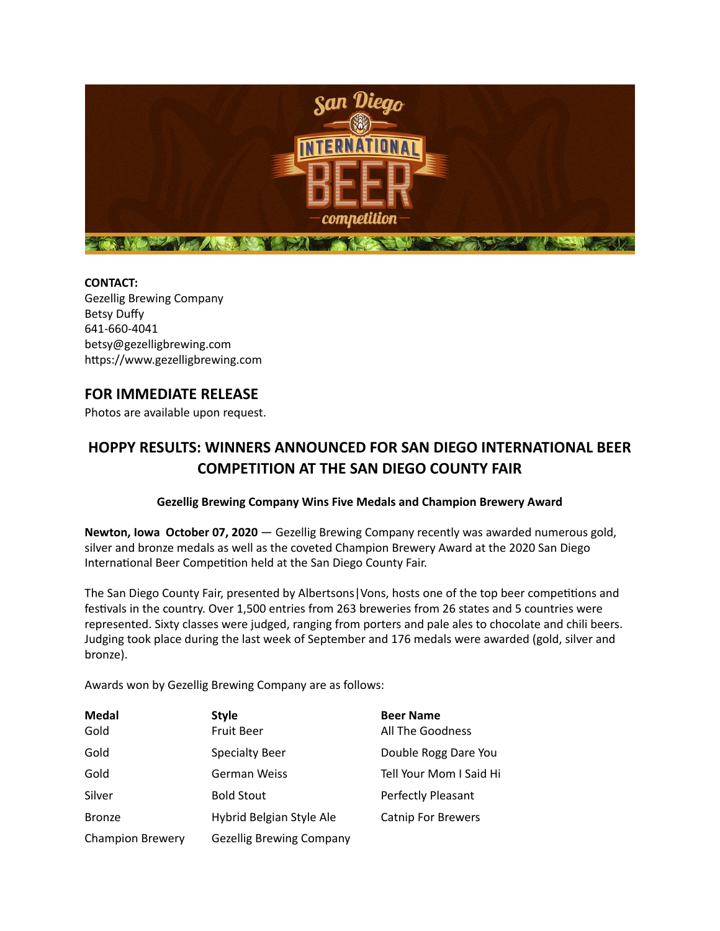

**CONTACT:**  Gezellig Brewing Company Betsy Duffy 641-660-4041 betsy@gezelligbrewing.com https://www.gezelligbrewing.com

## **FOR IMMEDIATE RELEASE**

Photos are available upon request.

## **HOPPY RESULTS: WINNERS ANNOUNCED FOR SAN DIEGO INTERNATIONAL BEER COMPETITION AT THE SAN DIEGO COUNTY FAIR**

## **Gezellig Brewing Company Wins Five Medals and Champion Brewery Award**

**Newton, Iowa October 07, 2020** — Gezellig Brewing Company recently was awarded numerous gold, silver and bronze medals as well as the coveted Champion Brewery Award at the 2020 San Diego International Beer Competition held at the San Diego County Fair.

The San Diego County Fair, presented by Albertsons | Vons, hosts one of the top beer competitions and festivals in the country. Over 1,500 entries from 263 breweries from 26 states and 5 countries were represented. Sixty classes were judged, ranging from porters and pale ales to chocolate and chili beers. Judging took place during the last week of September and 176 medals were awarded (gold, silver and bronze).

Awards won by Gezellig Brewing Company are as follows:

| <b>Medal</b><br>Gold    | <b>Style</b><br><b>Fruit Beer</b> | <b>Beer Name</b><br>All The Goodness |
|-------------------------|-----------------------------------|--------------------------------------|
| Gold                    | <b>Specialty Beer</b>             | Double Rogg Dare You                 |
| Gold                    | <b>German Weiss</b>               | Tell Your Mom I Said Hi              |
| Silver                  | <b>Bold Stout</b>                 | Perfectly Pleasant                   |
| <b>Bronze</b>           | Hybrid Belgian Style Ale          | <b>Catnip For Brewers</b>            |
| <b>Champion Brewery</b> | <b>Gezellig Brewing Company</b>   |                                      |